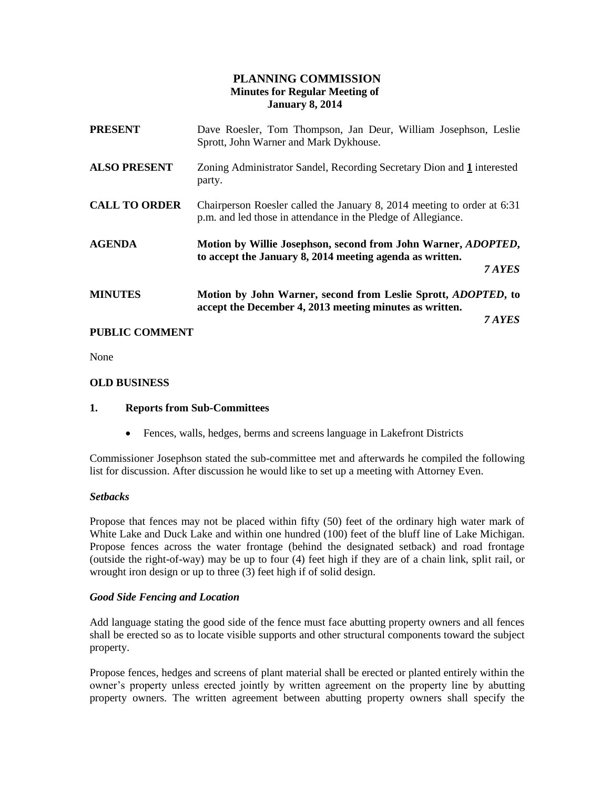# **PLANNING COMMISSION Minutes for Regular Meeting of January 8, 2014**

| <b>PRESENT</b>       | Dave Roesler, Tom Thompson, Jan Deur, William Josephson, Leslie<br>Sprott, John Warner and Mark Dykhouse.                                   |
|----------------------|---------------------------------------------------------------------------------------------------------------------------------------------|
| <b>ALSO PRESENT</b>  | Zoning Administrator Sandel, Recording Secretary Dion and 1 interested<br>party.                                                            |
| <b>CALL TO ORDER</b> | Chairperson Roesler called the January 8, 2014 meeting to order at 6:31<br>p.m. and led those in attendance in the Pledge of Allegiance.    |
| <b>AGENDA</b>        | Motion by Willie Josephson, second from John Warner, <i>ADOPTED</i> ,<br>to accept the January 8, 2014 meeting agenda as written.<br>7 AYES |
| <b>MINUTES</b>       | Motion by John Warner, second from Leslie Sprott, ADOPTED, to<br>accept the December 4, 2013 meeting minutes as written.<br>7 AYES          |

## **PUBLIC COMMENT**

None

## **OLD BUSINESS**

### **1. Reports from Sub-Committees**

Fences, walls, hedges, berms and screens language in Lakefront Districts

Commissioner Josephson stated the sub-committee met and afterwards he compiled the following list for discussion. After discussion he would like to set up a meeting with Attorney Even.

### *Setbacks*

Propose that fences may not be placed within fifty (50) feet of the ordinary high water mark of White Lake and Duck Lake and within one hundred (100) feet of the bluff line of Lake Michigan. Propose fences across the water frontage (behind the designated setback) and road frontage (outside the right-of-way) may be up to four (4) feet high if they are of a chain link, split rail, or wrought iron design or up to three  $(3)$  feet high if of solid design.

### *Good Side Fencing and Location*

Add language stating the good side of the fence must face abutting property owners and all fences shall be erected so as to locate visible supports and other structural components toward the subject property.

Propose fences, hedges and screens of plant material shall be erected or planted entirely within the owner's property unless erected jointly by written agreement on the property line by abutting property owners. The written agreement between abutting property owners shall specify the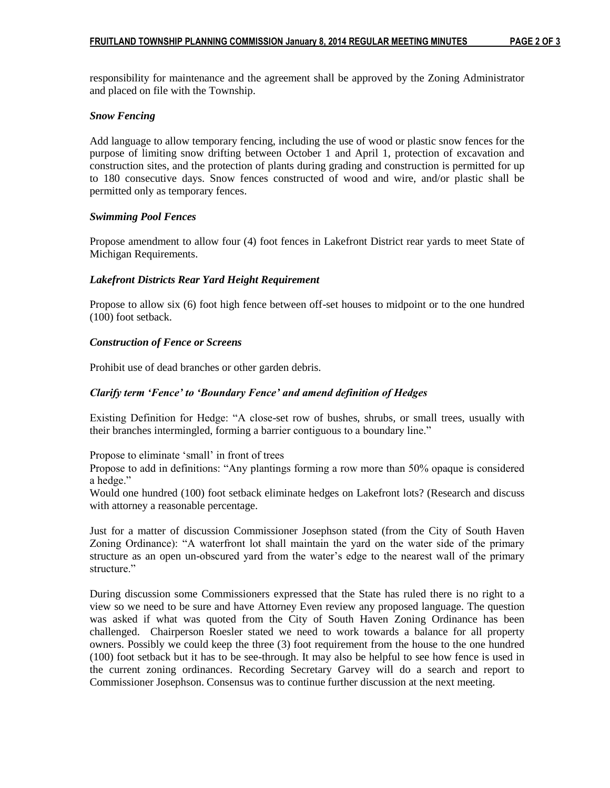responsibility for maintenance and the agreement shall be approved by the Zoning Administrator and placed on file with the Township.

### *Snow Fencing*

Add language to allow temporary fencing, including the use of wood or plastic snow fences for the purpose of limiting snow drifting between October 1 and April 1, protection of excavation and construction sites, and the protection of plants during grading and construction is permitted for up to 180 consecutive days. Snow fences constructed of wood and wire, and/or plastic shall be permitted only as temporary fences.

### *Swimming Pool Fences*

Propose amendment to allow four (4) foot fences in Lakefront District rear yards to meet State of Michigan Requirements.

## *Lakefront Districts Rear Yard Height Requirement*

Propose to allow six (6) foot high fence between off-set houses to midpoint or to the one hundred (100) foot setback.

## *Construction of Fence or Screens*

Prohibit use of dead branches or other garden debris.

## *Clarify term 'Fence' to 'Boundary Fence' and amend definition of Hedges*

Existing Definition for Hedge: "A close-set row of bushes, shrubs, or small trees, usually with their branches intermingled, forming a barrier contiguous to a boundary line."

Propose to eliminate 'small' in front of trees

Propose to add in definitions: "Any plantings forming a row more than 50% opaque is considered a hedge."

Would one hundred (100) foot setback eliminate hedges on Lakefront lots? (Research and discuss with attorney a reasonable percentage.

Just for a matter of discussion Commissioner Josephson stated (from the City of South Haven Zoning Ordinance): "A waterfront lot shall maintain the yard on the water side of the primary structure as an open un-obscured yard from the water's edge to the nearest wall of the primary structure."

During discussion some Commissioners expressed that the State has ruled there is no right to a view so we need to be sure and have Attorney Even review any proposed language. The question was asked if what was quoted from the City of South Haven Zoning Ordinance has been challenged. Chairperson Roesler stated we need to work towards a balance for all property owners. Possibly we could keep the three (3) foot requirement from the house to the one hundred (100) foot setback but it has to be see-through. It may also be helpful to see how fence is used in the current zoning ordinances. Recording Secretary Garvey will do a search and report to Commissioner Josephson. Consensus was to continue further discussion at the next meeting.